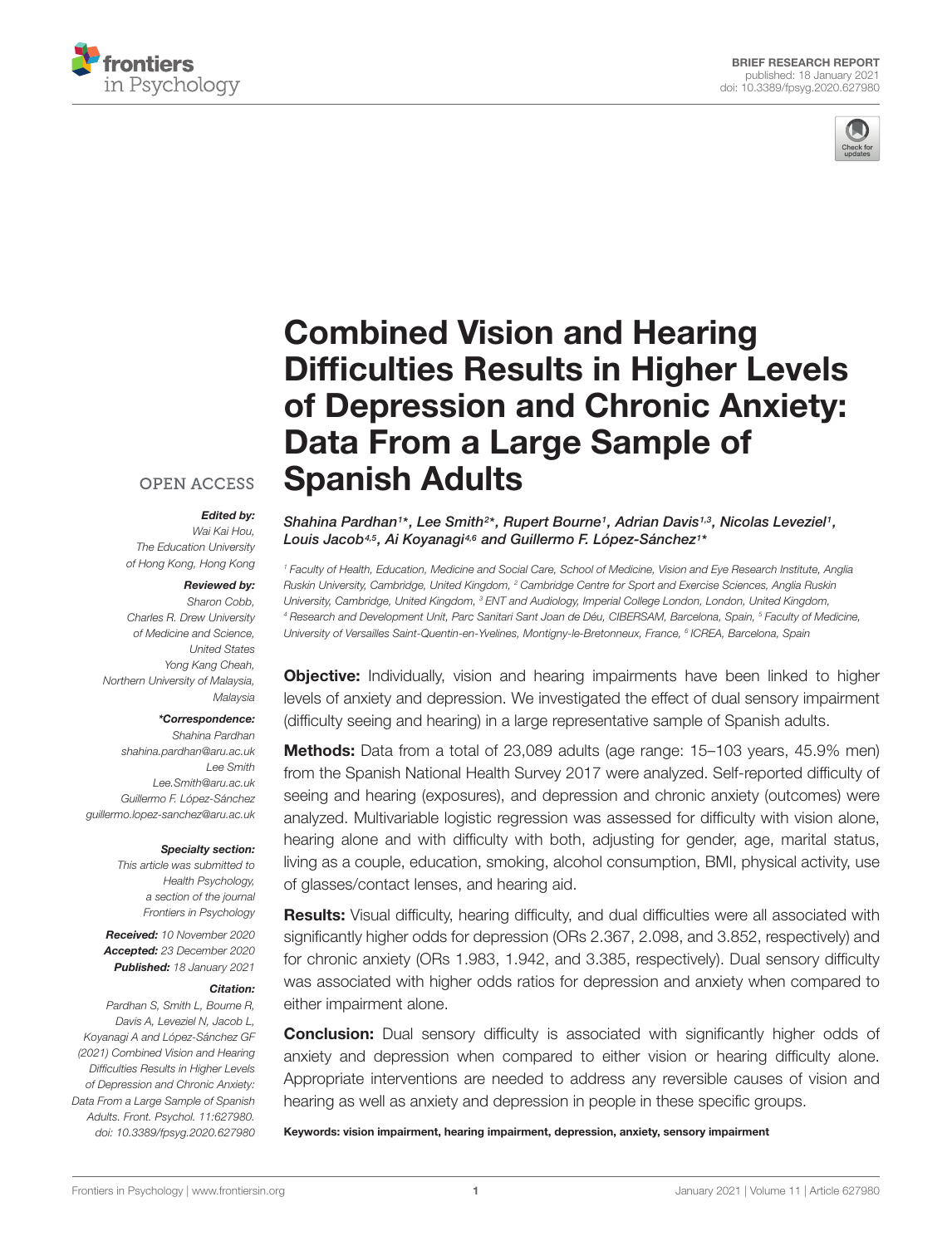



# Combined Vision and Hearing [Difficulties Results in Higher Levels](https://www.frontiersin.org/articles/10.3389/fpsyg.2020.627980/full) of Depression and Chronic Anxiety: Data From a Large Sample of Spanish Adults

## **OPEN ACCESS**

#### Edited by:

Wai Kai Hou, The Education University of Hong Kong, Hong Kong

#### Reviewed by:

Sharon Cobb, Charles R. Drew University of Medicine and Science, United States Yong Kang Cheah, Northern University of Malaysia, Malaysia

#### \*Correspondence:

Shahina Pardhan shahina.pardhan@aru.ac.uk Lee Smith Lee.Smith@aru.ac.uk Guillermo F. López-Sánchez guillermo.lopez-sanchez@aru.ac.uk

#### Specialty section:

This article was submitted to Health Psychology, a section of the journal Frontiers in Psychology

Received: 10 November 2020 Accepted: 23 December 2020 Published: 18 January 2021

#### Citation:

Pardhan S, Smith L, Bourne R, Davis A, Leveziel N, Jacob L, Koyanagi A and López-Sánchez GF (2021) Combined Vision and Hearing Difficulties Results in Higher Levels of Depression and Chronic Anxiety: Data From a Large Sample of Spanish Adults. Front. Psychol. 11:627980. doi: [10.3389/fpsyg.2020.627980](https://doi.org/10.3389/fpsyg.2020.627980) Shahina Pardhan<sup>1\*</sup>, Lee Smith<sup>2\*</sup>, Rupert Bourne<sup>1</sup>, Adrian Davis<sup>1,3</sup>, Nicolas Leveziel<sup>1</sup>, Louis Jacob4,5, Ai Koyanagi4,6 and Guillermo F. López-Sánchez<sup>1</sup> \*

<sup>1</sup> Faculty of Health, Education, Medicine and Social Care, School of Medicine, Vision and Eye Research Institute, Anglia Ruskin University, Cambridge, United Kingdom, <sup>2</sup> Cambridge Centre for Sport and Exercise Sciences, Anglia Ruskin University, Cambridge, United Kingdom, <sup>3</sup> ENT and Audiology, Imperial College London, London, United Kingdom, <sup>4</sup> Research and Development Unit, Parc Sanitari Sant Joan de Déu, CIBERSAM, Barcelona, Spain, <sup>5</sup> Faculty of Medicine, University of Versailles Saint-Quentin-en-Yvelines, Montigny-le-Bretonneux, France, <sup>6</sup> ICREA, Barcelona, Spain

**Objective:** Individually, vision and hearing impairments have been linked to higher levels of anxiety and depression. We investigated the effect of dual sensory impairment (difficulty seeing and hearing) in a large representative sample of Spanish adults.

**Methods:** Data from a total of 23,089 adults (age range: 15–103 years, 45.9% men) from the Spanish National Health Survey 2017 were analyzed. Self-reported difficulty of seeing and hearing (exposures), and depression and chronic anxiety (outcomes) were analyzed. Multivariable logistic regression was assessed for difficulty with vision alone, hearing alone and with difficulty with both, adjusting for gender, age, marital status, living as a couple, education, smoking, alcohol consumption, BMI, physical activity, use of glasses/contact lenses, and hearing aid.

Results: Visual difficulty, hearing difficulty, and dual difficulties were all associated with significantly higher odds for depression (ORs 2.367, 2.098, and 3.852, respectively) and for chronic anxiety (ORs 1.983, 1.942, and 3.385, respectively). Dual sensory difficulty was associated with higher odds ratios for depression and anxiety when compared to either impairment alone.

**Conclusion:** Dual sensory difficulty is associated with significantly higher odds of anxiety and depression when compared to either vision or hearing difficulty alone. Appropriate interventions are needed to address any reversible causes of vision and hearing as well as anxiety and depression in people in these specific groups.

Keywords: vision impairment, hearing impairment, depression, anxiety, sensory impairment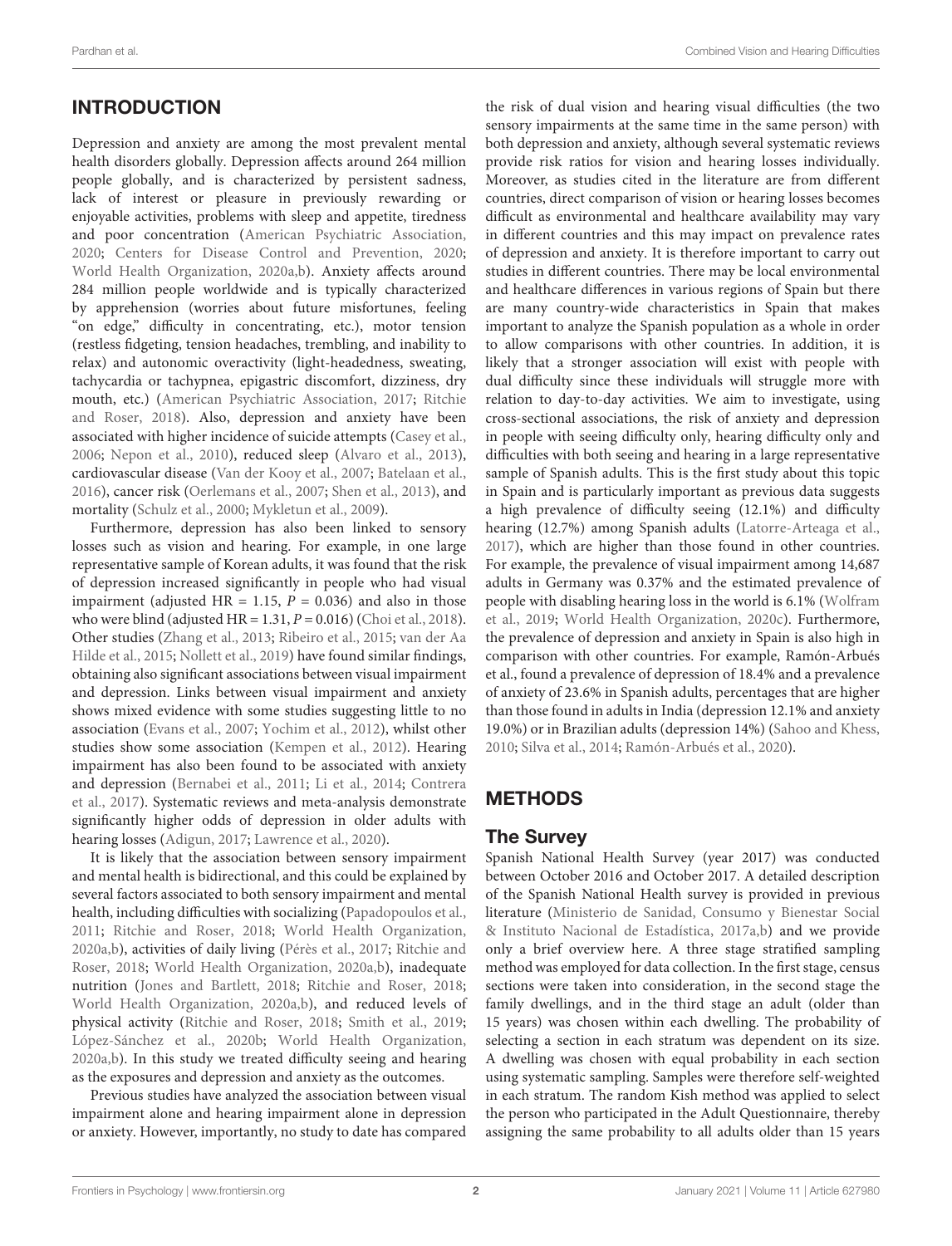# **INTRODUCTION**

Depression and anxiety are among the most prevalent mental health disorders globally. Depression affects around 264 million people globally, and is characterized by persistent sadness, lack of interest or pleasure in previously rewarding or enjoyable activities, problems with sleep and appetite, tiredness and poor concentration [\(American Psychiatric Association,](#page-7-0) [2020;](#page-7-0) [Centers for Disease Control and Prevention,](#page-7-1) [2020;](#page-7-1) [World Health Organization,](#page-9-0) [2020a](#page-9-0)[,b\)](#page-9-1). Anxiety affects around 284 million people worldwide and is typically characterized by apprehension (worries about future misfortunes, feeling "on edge," difficulty in concentrating, etc.), motor tension (restless fidgeting, tension headaches, trembling, and inability to relax) and autonomic overactivity (light-headedness, sweating, tachycardia or tachypnea, epigastric discomfort, dizziness, dry mouth, etc.) [\(American Psychiatric Association,](#page-7-2) [2017;](#page-7-2) [Ritchie](#page-8-0) [and Roser,](#page-8-0) [2018\)](#page-8-0). Also, depression and anxiety have been associated with higher incidence of suicide attempts [\(Casey et al.,](#page-7-3) [2006;](#page-7-3) [Nepon et al.,](#page-8-1) [2010\)](#page-8-1), reduced sleep [\(Alvaro et al.,](#page-7-4) [2013\)](#page-7-4), cardiovascular disease [\(Van der Kooy et al.,](#page-8-2) [2007;](#page-8-2) [Batelaan et al.,](#page-7-5) [2016\)](#page-7-5), cancer risk [\(Oerlemans et al.,](#page-8-3) [2007;](#page-8-3) [Shen et al.,](#page-8-4) [2013\)](#page-8-4), and mortality [\(Schulz et al.,](#page-8-5) [2000;](#page-8-5) [Mykletun et al.,](#page-8-6) [2009\)](#page-8-6).

Furthermore, depression has also been linked to sensory losses such as vision and hearing. For example, in one large representative sample of Korean adults, it was found that the risk of depression increased significantly in people who had visual impairment (adjusted HR = 1.15,  $P = 0.036$ ) and also in those who were blind (adjusted HR =  $1.31, P = 0.016$ ) [\(Choi et al.,](#page-7-6) [2018\)](#page-7-6). Other studies [\(Zhang et al.,](#page-9-2) [2013;](#page-9-2) [Ribeiro et al.,](#page-8-7) [2015;](#page-8-7) [van der Aa](#page-8-8) [Hilde et al.,](#page-8-8) [2015;](#page-8-8) [Nollett et al.,](#page-8-9) [2019\)](#page-8-9) have found similar findings, obtaining also significant associations between visual impairment and depression. Links between visual impairment and anxiety shows mixed evidence with some studies suggesting little to no association [\(Evans et al.,](#page-7-7) [2007;](#page-7-7) [Yochim et al.,](#page-9-3) [2012\)](#page-9-3), whilst other studies show some association [\(Kempen et al.,](#page-7-8) [2012\)](#page-7-8). Hearing impairment has also been found to be associated with anxiety and depression [\(Bernabei et al.,](#page-7-9) [2011;](#page-7-9) [Li et al.,](#page-8-10) [2014;](#page-8-10) [Contrera](#page-7-10) [et al.,](#page-7-10) [2017\)](#page-7-10). Systematic reviews and meta-analysis demonstrate significantly higher odds of depression in older adults with hearing losses [\(Adigun,](#page-7-11) [2017;](#page-7-11) [Lawrence et al.,](#page-8-11) [2020\)](#page-8-11).

It is likely that the association between sensory impairment and mental health is bidirectional, and this could be explained by several factors associated to both sensory impairment and mental health, including difficulties with socializing [\(Papadopoulos et al.,](#page-8-12) [2011;](#page-8-12) [Ritchie and Roser,](#page-8-0) [2018;](#page-8-0) [World Health Organization,](#page-9-0) [2020a,](#page-9-0)[b\)](#page-9-1), activities of daily living [\(Pérès et al.,](#page-8-13) [2017;](#page-8-13) [Ritchie and](#page-8-0) [Roser,](#page-8-0) [2018;](#page-8-0) [World Health Organization,](#page-9-0) [2020a,](#page-9-0)[b\)](#page-9-1), inadequate nutrition [\(Jones and Bartlett,](#page-7-12) [2018;](#page-7-12) [Ritchie and Roser,](#page-8-0) [2018;](#page-8-0) [World Health Organization,](#page-9-0) [2020a,](#page-9-0)[b\)](#page-9-1), and reduced levels of physical activity [\(Ritchie and Roser,](#page-8-0) [2018;](#page-8-0) [Smith et al.,](#page-8-14) [2019;](#page-8-14) [López-Sánchez et al.,](#page-8-15) [2020b;](#page-8-15) [World Health Organization,](#page-9-0) [2020a,](#page-9-0)[b\)](#page-9-1). In this study we treated difficulty seeing and hearing as the exposures and depression and anxiety as the outcomes.

Previous studies have analyzed the association between visual impairment alone and hearing impairment alone in depression or anxiety. However, importantly, no study to date has compared the risk of dual vision and hearing visual difficulties (the two sensory impairments at the same time in the same person) with both depression and anxiety, although several systematic reviews provide risk ratios for vision and hearing losses individually. Moreover, as studies cited in the literature are from different countries, direct comparison of vision or hearing losses becomes difficult as environmental and healthcare availability may vary in different countries and this may impact on prevalence rates of depression and anxiety. It is therefore important to carry out studies in different countries. There may be local environmental and healthcare differences in various regions of Spain but there are many country-wide characteristics in Spain that makes important to analyze the Spanish population as a whole in order to allow comparisons with other countries. In addition, it is likely that a stronger association will exist with people with dual difficulty since these individuals will struggle more with relation to day-to-day activities. We aim to investigate, using cross-sectional associations, the risk of anxiety and depression in people with seeing difficulty only, hearing difficulty only and difficulties with both seeing and hearing in a large representative sample of Spanish adults. This is the first study about this topic in Spain and is particularly important as previous data suggests a high prevalence of difficulty seeing (12.1%) and difficulty hearing (12.7%) among Spanish adults [\(Latorre-Arteaga et al.,](#page-7-13) [2017\)](#page-7-13), which are higher than those found in other countries. For example, the prevalence of visual impairment among 14,687 adults in Germany was 0.37% and the estimated prevalence of people with disabling hearing loss in the world is 6.1% [\(Wolfram](#page-9-4) [et al.,](#page-9-4) [2019;](#page-9-4) [World Health Organization,](#page-9-5) [2020c\)](#page-9-5). Furthermore, the prevalence of depression and anxiety in Spain is also high in comparison with other countries. For example, Ramón-Arbués et al., found a prevalence of depression of 18.4% and a prevalence of anxiety of 23.6% in Spanish adults, percentages that are higher than those found in adults in India (depression 12.1% and anxiety 19.0%) or in Brazilian adults (depression 14%) [\(Sahoo and Khess,](#page-8-16) [2010;](#page-8-16) [Silva et al.,](#page-8-17) [2014;](#page-8-17) [Ramón-Arbués et al.,](#page-8-18) [2020\)](#page-8-18).

# **METHODS**

# The Survey

Spanish National Health Survey (year 2017) was conducted between October 2016 and October 2017. A detailed description of the Spanish National Health survey is provided in previous literature [\(Ministerio de Sanidad, Consumo y Bienestar Social](#page-8-19) [& Instituto Nacional de Estadística,](#page-8-19) [2017a](#page-8-19)[,b\)](#page-8-20) and we provide only a brief overview here. A three stage stratified sampling method was employed for data collection. In the first stage, census sections were taken into consideration, in the second stage the family dwellings, and in the third stage an adult (older than 15 years) was chosen within each dwelling. The probability of selecting a section in each stratum was dependent on its size. A dwelling was chosen with equal probability in each section using systematic sampling. Samples were therefore self-weighted in each stratum. The random Kish method was applied to select the person who participated in the Adult Questionnaire, thereby assigning the same probability to all adults older than 15 years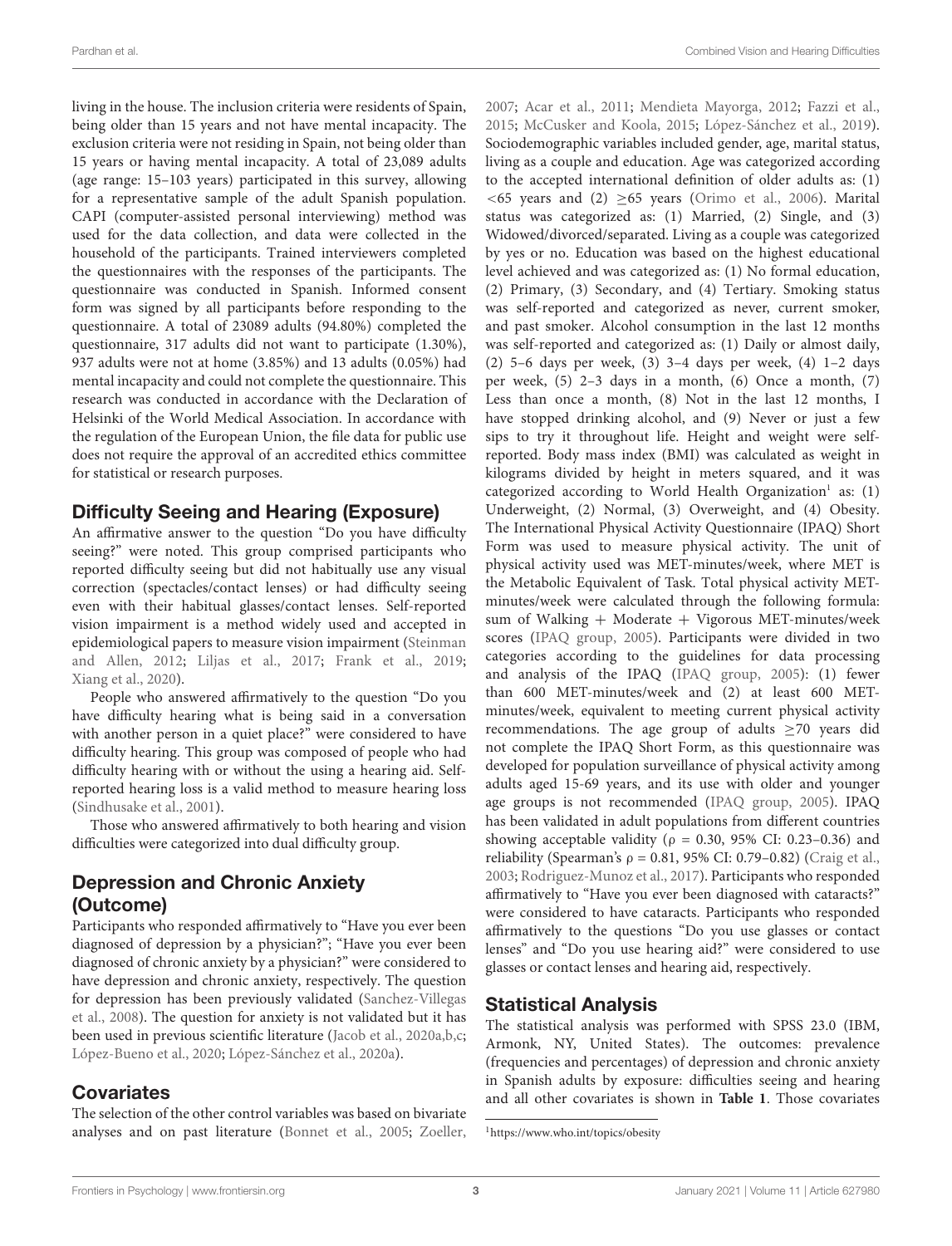living in the house. The inclusion criteria were residents of Spain, being older than 15 years and not have mental incapacity. The exclusion criteria were not residing in Spain, not being older than 15 years or having mental incapacity. A total of 23,089 adults (age range: 15–103 years) participated in this survey, allowing for a representative sample of the adult Spanish population. CAPI (computer-assisted personal interviewing) method was used for the data collection, and data were collected in the household of the participants. Trained interviewers completed the questionnaires with the responses of the participants. The questionnaire was conducted in Spanish. Informed consent form was signed by all participants before responding to the questionnaire. A total of 23089 adults (94.80%) completed the questionnaire, 317 adults did not want to participate (1.30%), 937 adults were not at home (3.85%) and 13 adults (0.05%) had mental incapacity and could not complete the questionnaire. This research was conducted in accordance with the Declaration of Helsinki of the World Medical Association. In accordance with the regulation of the European Union, the file data for public use does not require the approval of an accredited ethics committee for statistical or research purposes.

## Difficulty Seeing and Hearing (Exposure)

An affirmative answer to the question "Do you have difficulty seeing?" were noted. This group comprised participants who reported difficulty seeing but did not habitually use any visual correction (spectacles/contact lenses) or had difficulty seeing even with their habitual glasses/contact lenses. Self-reported vision impairment is a method widely used and accepted in epidemiological papers to measure vision impairment [\(Steinman](#page-8-21) [and Allen,](#page-8-21) [2012;](#page-8-21) [Liljas et al.,](#page-8-22) [2017;](#page-8-22) [Frank et al.,](#page-7-14) [2019;](#page-7-14) [Xiang et al.,](#page-9-6) [2020\)](#page-9-6).

People who answered affirmatively to the question "Do you have difficulty hearing what is being said in a conversation with another person in a quiet place?" were considered to have difficulty hearing. This group was composed of people who had difficulty hearing with or without the using a hearing aid. Selfreported hearing loss is a valid method to measure hearing loss [\(Sindhusake et al.,](#page-8-23) [2001\)](#page-8-23).

Those who answered affirmatively to both hearing and vision difficulties were categorized into dual difficulty group.

# Depression and Chronic Anxiety (Outcome)

Participants who responded affirmatively to "Have you ever been diagnosed of depression by a physician?"; "Have you ever been diagnosed of chronic anxiety by a physician?" were considered to have depression and chronic anxiety, respectively. The question for depression has been previously validated [\(Sanchez-Villegas](#page-8-24) [et al.,](#page-8-24) [2008\)](#page-8-24). The question for anxiety is not validated but it has been used in previous scientific literature [\(Jacob et al.,](#page-7-15) [2020a,](#page-7-15)[b,](#page-7-16)[c;](#page-7-17) [López-Bueno et al.,](#page-8-25) [2020;](#page-8-25) [López-Sánchez et al.,](#page-8-26) [2020a\)](#page-8-26).

## **Covariates**

The selection of the other control variables was based on bivariate analyses and on past literature [\(Bonnet et al.,](#page-7-18) [2005;](#page-7-18) [Zoeller,](#page-9-7) [2007;](#page-9-7) [Acar et al.,](#page-7-19) [2011;](#page-7-19) [Mendieta Mayorga,](#page-8-27) [2012;](#page-8-27) [Fazzi et al.,](#page-7-20) [2015;](#page-7-20) [McCusker and Koola,](#page-8-28) [2015;](#page-8-28) [López-Sánchez et al.,](#page-8-29) [2019\)](#page-8-29). Sociodemographic variables included gender, age, marital status, living as a couple and education. Age was categorized according to the accepted international definition of older adults as: (1)  $<$  65 years and (2)  $>$  65 years [\(Orimo et al.,](#page-8-30) [2006\)](#page-8-30). Marital status was categorized as: (1) Married, (2) Single, and (3) Widowed/divorced/separated. Living as a couple was categorized by yes or no. Education was based on the highest educational level achieved and was categorized as: (1) No formal education, (2) Primary, (3) Secondary, and (4) Tertiary. Smoking status was self-reported and categorized as never, current smoker, and past smoker. Alcohol consumption in the last 12 months was self-reported and categorized as: (1) Daily or almost daily, (2) 5–6 days per week, (3) 3–4 days per week, (4) 1–2 days per week, (5) 2–3 days in a month, (6) Once a month, (7) Less than once a month, (8) Not in the last 12 months, I have stopped drinking alcohol, and (9) Never or just a few sips to try it throughout life. Height and weight were selfreported. Body mass index (BMI) was calculated as weight in kilograms divided by height in meters squared, and it was categorized according to World Health Organization<sup>[1](#page-2-0)</sup> as: (1) Underweight, (2) Normal, (3) Overweight, and (4) Obesity. The International Physical Activity Questionnaire (IPAQ) Short Form was used to measure physical activity. The unit of physical activity used was MET-minutes/week, where MET is the Metabolic Equivalent of Task. Total physical activity METminutes/week were calculated through the following formula: sum of Walking + Moderate + Vigorous MET-minutes/week scores [\(IPAQ group,](#page-7-21) [2005\)](#page-7-21). Participants were divided in two categories according to the guidelines for data processing and analysis of the IPAQ [\(IPAQ group,](#page-7-21) [2005\)](#page-7-21): (1) fewer than 600 MET-minutes/week and (2) at least 600 METminutes/week, equivalent to meeting current physical activity recommendations. The age group of adults  $\geq 70$  years did not complete the IPAQ Short Form, as this questionnaire was developed for population surveillance of physical activity among adults aged 15-69 years, and its use with older and younger age groups is not recommended [\(IPAQ group,](#page-7-21) [2005\)](#page-7-21). IPAQ has been validated in adult populations from different countries showing acceptable validity ( $\rho = 0.30$ , 95% CI: 0.23-0.36) and reliability (Spearman's  $\rho = 0.81$ , 95% CI: 0.79–0.82) [\(Craig et al.,](#page-7-22) [2003;](#page-7-22) [Rodriguez-Munoz et al.,](#page-8-31) [2017\)](#page-8-31). Participants who responded affirmatively to "Have you ever been diagnosed with cataracts?" were considered to have cataracts. Participants who responded affirmatively to the questions "Do you use glasses or contact lenses" and "Do you use hearing aid?" were considered to use glasses or contact lenses and hearing aid, respectively.

## Statistical Analysis

The statistical analysis was performed with SPSS 23.0 (IBM, Armonk, NY, United States). The outcomes: prevalence (frequencies and percentages) of depression and chronic anxiety in Spanish adults by exposure: difficulties seeing and hearing and all other covariates is shown in **[Table 1](#page-3-0)**. Those covariates

<span id="page-2-0"></span><sup>1</sup><https://www.who.int/topics/obesity>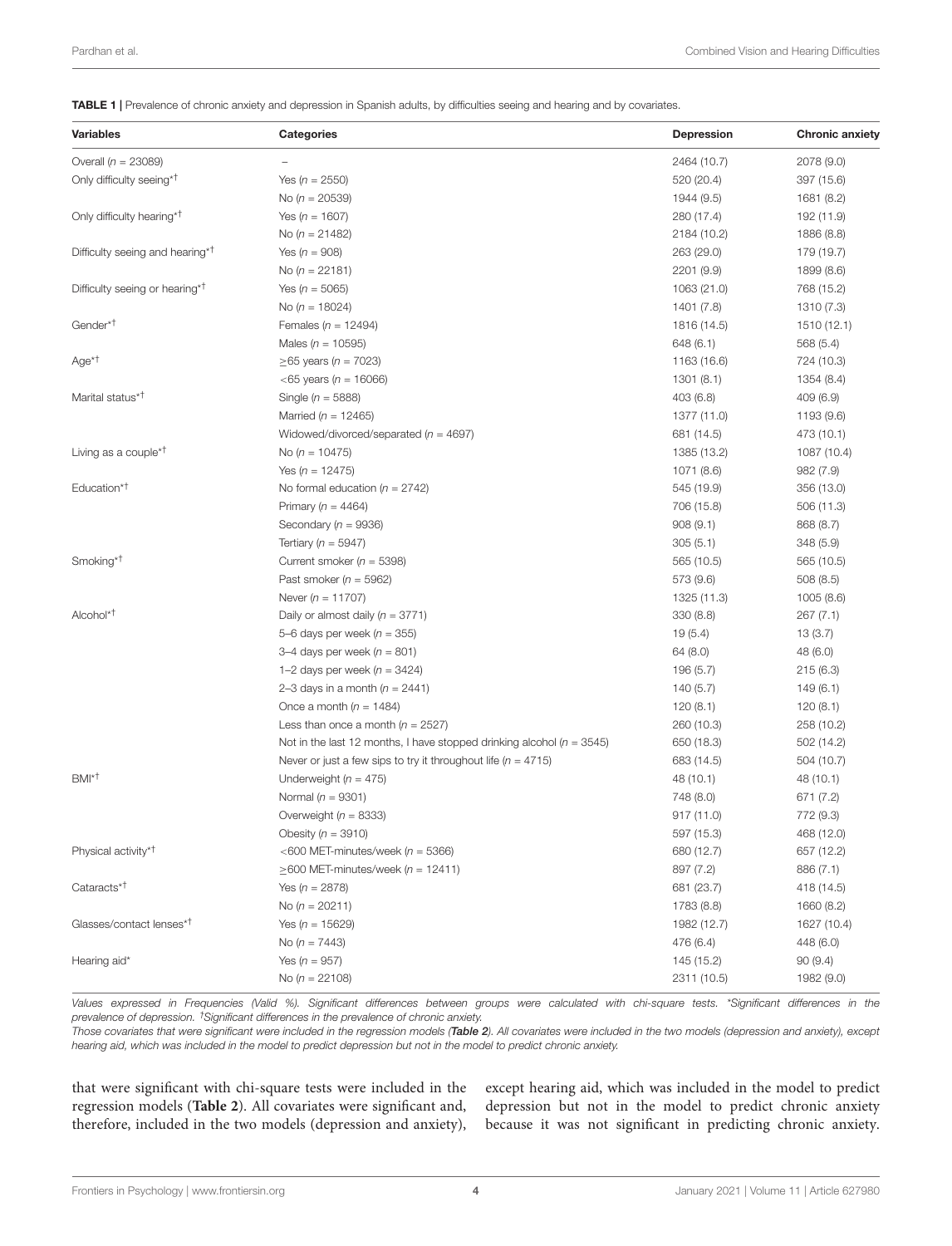<span id="page-3-0"></span>TABLE 1 | Prevalence of chronic anxiety and depression in Spanish adults, by difficulties seeing and hearing and by covariates.

| <b>Variables</b>                            | <b>Categories</b>                                                         | <b>Depression</b> | <b>Chronic anxiety</b> |
|---------------------------------------------|---------------------------------------------------------------------------|-------------------|------------------------|
| Overall ( $n = 23089$ )                     |                                                                           | 2464 (10.7)       | 2078 (9.0)             |
| Only difficulty seeing <sup>*†</sup>        | Yes ( $n = 2550$ )                                                        | 520 (20.4)        | 397 (15.6)             |
|                                             | No ( $n = 20539$ )                                                        | 1944 (9.5)        | 1681 (8.2)             |
| Only difficulty hearing* <sup>†</sup>       | Yes ( $n = 1607$ )                                                        | 280 (17.4)        | 192 (11.9)             |
|                                             | No ( $n = 21482$ )                                                        | 2184 (10.2)       | 1886 (8.8)             |
| Difficulty seeing and hearing* <sup>†</sup> | Yes ( $n = 908$ )                                                         | 263 (29.0)        | 179 (19.7)             |
|                                             | No ( $n = 22181$ )                                                        | 2201 (9.9)        | 1899 (8.6)             |
| Difficulty seeing or hearing <sup>*T</sup>  | Yes ( $n = 5065$ )                                                        | 1063 (21.0)       | 768 (15.2)             |
|                                             | No ( $n = 18024$ )                                                        | 1401 (7.8)        | 1310 (7.3)             |
| Gender* <sup>T</sup>                        | Females ( $n = 12494$ )                                                   | 1816 (14.5)       | 1510 (12.1)            |
|                                             | Males ( $n = 10595$ )                                                     | 648 (6.1)         | 568 (5.4)              |
| $Age*†$                                     | ≥65 years ( <i>n</i> = 7023)                                              | 1163 (16.6)       | 724 (10.3)             |
|                                             | $<65$ years (n = 16066)                                                   | 1301(8.1)         | 1354 (8.4)             |
| Marital status* <sup>†</sup>                | Single ( $n = 5888$ )                                                     | 403 (6.8)         | 409(6.9)               |
|                                             | Married ( $n = 12465$ )                                                   | 1377 (11.0)       | 1193 (9.6)             |
|                                             | Widowed/divorced/separated ( $n = 4697$ )                                 | 681 (14.5)        | 473 (10.1)             |
| Living as a couple <sup>*T</sup>            | No ( $n = 10475$ )                                                        | 1385 (13.2)       | 1087 (10.4)            |
|                                             | Yes $(n = 12475)$                                                         | 1071 (8.6)        | 982 (7.9)              |
| Education <sup>*†</sup>                     | No formal education ( $n = 2742$ )                                        | 545 (19.9)        | 356 (13.0)             |
|                                             | Primary ( $n = 4464$ )                                                    | 706 (15.8)        | 506 (11.3)             |
|                                             | Secondary ( $n = 9936$ )                                                  | 908(9.1)          | 868 (8.7)              |
|                                             | Tertiary ( $n = 5947$ )                                                   | 305(5.1)          | 348(5.9)               |
| Smoking* <sup>†</sup>                       | Current smoker ( $n = 5398$ )                                             | 565 (10.5)        | 565 (10.5)             |
|                                             | Past smoker ( $n = 5962$ )                                                | 573 (9.6)         | 508(8.5)               |
|                                             | Never ( $n = 11707$ )                                                     | 1325 (11.3)       | 1005 (8.6)             |
| Alcohol* <sup>†</sup>                       | Daily or almost daily ( $n = 3771$ )                                      | 330(8.8)          | 267(7.1)               |
|                                             | 5-6 days per week ( $n = 355$ )                                           | 19(5.4)           | 13 (3.7)               |
|                                             | 3–4 days per week ( $n = 801$ )                                           | 64 (8.0)          | 48 (6.0)               |
|                                             | 1–2 days per week ( $n = 3424$ )                                          | 196 (5.7)         | 215(6.3)               |
|                                             | 2–3 days in a month $(n = 2441)$                                          | 140 (5.7)         | 149(6.1)               |
|                                             | Once a month ( $n = 1484$ )                                               | 120 (8.1)         | 120(8.1)               |
|                                             | Less than once a month ( $n = 2527$ )                                     | 260 (10.3)        | 258 (10.2)             |
|                                             | Not in the last 12 months, I have stopped drinking alcohol ( $n = 3545$ ) | 650 (18.3)        | 502 (14.2)             |
|                                             | Never or just a few sips to try it throughout life ( $n = 4715$ )         | 683 (14.5)        | 504 (10.7)             |
| BMI <sup>*†</sup>                           | Underweight ( $n = 475$ )                                                 | 48 (10.1)         | 48 (10.1)              |
|                                             | Normal ( $n = 9301$ )                                                     | 748 (8.0)         | 671 (7.2)              |
|                                             | Overweight ( $n = 8333$ )                                                 | 917 (11.0)        | 772 (9.3)              |
|                                             | Obesity $(n = 3910)$                                                      | 597 (15.3)        | 468 (12.0)             |
| Physical activity* <sup>†</sup>             | <600 MET-minutes/week ( $n = 5366$ )                                      | 680 (12.7)        | 657 (12.2)             |
|                                             | $\geq$ 600 MET-minutes/week (n = 12411)                                   | 897 (7.2)         | 886 (7.1)              |
| Cataracts <sup>*†</sup>                     | Yes ( $n = 2878$ )                                                        | 681 (23.7)        | 418 (14.5)             |
|                                             | No ( $n = 20211$ )                                                        | 1783 (8.8)        | 1660 (8.2)             |
| Glasses/contact lenses* <sup>†</sup>        | Yes ( $n = 15629$ )                                                       | 1982 (12.7)       | 1627 (10.4)            |
|                                             | No ( $n = 7443$ )                                                         | 476 (6.4)         | 448 (6.0)              |
| Hearing aid*                                | Yes ( $n = 957$ )                                                         | 145 (15.2)        | 90(9.4)                |
|                                             | No ( $n = 22108$ )                                                        | 2311 (10.5)       | 1982 (9.0)             |

Values expressed in Frequencies (Valid %). Significant differences between groups were calculated with chi-square tests. \*Significant differences in the prevalence of depression. †Significant differences in the prevalence of chronic anxiety.

Those covariates that were significant were included in the regression models ([Table 2](#page-4-0)). All covariates were included in the two models (depression and anxiety), except hearing aid, which was included in the model to predict depression but not in the model to predict chronic anxiety.

that were significant with chi-square tests were included in the regression models (**[Table 2](#page-4-0)**). All covariates were significant and, therefore, included in the two models (depression and anxiety), except hearing aid, which was included in the model to predict depression but not in the model to predict chronic anxiety because it was not significant in predicting chronic anxiety.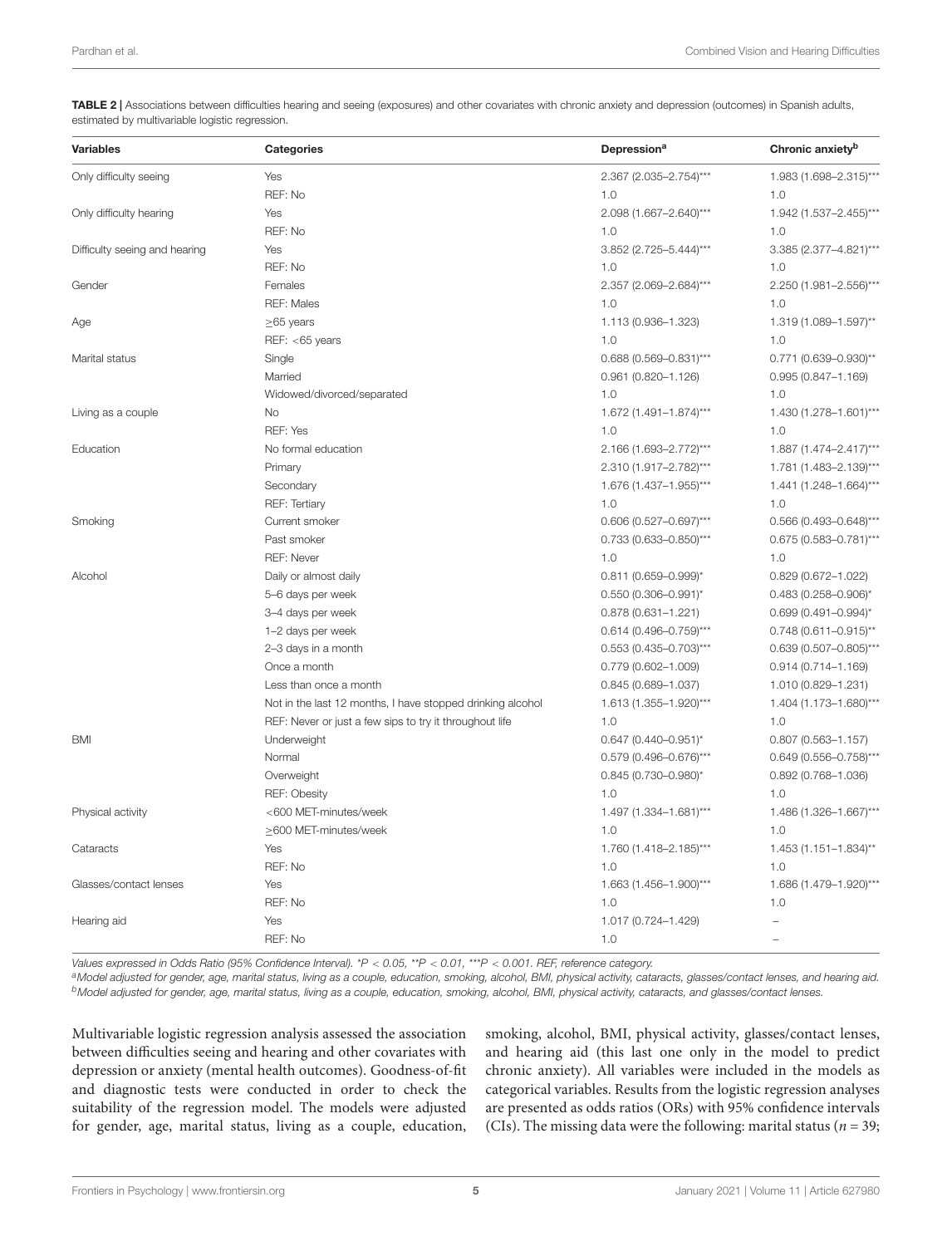<span id="page-4-0"></span>TABLE 2 | Associations between difficulties hearing and seeing (exposures) and other covariates with chronic anxiety and depression (outcomes) in Spanish adults, estimated by multivariable logistic regression.

| <b>Variables</b>              | <b>Categories</b>                                          | Depression <sup>a</sup>    | Chronic anxiety <sup>b</sup> |
|-------------------------------|------------------------------------------------------------|----------------------------|------------------------------|
| Only difficulty seeing        | Yes                                                        | 2.367 (2.035-2.754)***     | 1.983 (1.698-2.315)***       |
|                               | REF: No                                                    | 1.0                        | 1.0                          |
| Only difficulty hearing       | Yes                                                        | 2.098 (1.667-2.640)***     | 1.942 (1.537-2.455)***       |
|                               | REF: No                                                    | 1.0                        | 1.0                          |
| Difficulty seeing and hearing | Yes                                                        | 3.852 (2.725-5.444)***     | 3.385 (2.377-4.821)***       |
|                               | REF: No                                                    | 1.0                        | 1.0                          |
| Gender                        | Females                                                    | 2.357 (2.069-2.684)***     | 2.250 (1.981-2.556)***       |
|                               | <b>REF: Males</b>                                          | 1.0                        | 1.0                          |
| Age                           | $\geq$ 65 years                                            | 1.113 (0.936-1.323)        | 1.319 (1.089-1.597)**        |
|                               | REF: <65 years                                             | 1.0                        | 1.0                          |
| Marital status                | Single                                                     | 0.688 (0.569-0.831)***     | 0.771 (0.639-0.930)**        |
|                               | Married                                                    | $0.961(0.820 - 1.126)$     | $0.995(0.847 - 1.169)$       |
|                               | Widowed/divorced/separated                                 | 1.0                        | 1.0                          |
| Living as a couple            | <b>No</b>                                                  | 1.672 (1.491-1.874)***     | 1.430 (1.278-1.601)***       |
|                               | REF: Yes                                                   | 1.0                        | 1.0                          |
| Education                     | No formal education                                        | 2.166 (1.693-2.772)***     | 1.887 (1.474-2.417)***       |
|                               | Primary                                                    | 2.310 (1.917-2.782)***     | 1.781 (1.483-2.139)***       |
|                               | Secondary                                                  | 1.676 (1.437-1.955)***     | 1.441 (1.248-1.664)***       |
|                               | <b>REF: Tertiary</b>                                       | 1.0                        | 1.0                          |
| Smoking                       | Current smoker                                             | $0.606$ (0.527-0.697)***   | $0.566$ (0.493-0.648)***     |
|                               | Past smoker                                                | $0.733$ (0.633-0.850)***   | $0.675$ (0.583-0.781)***     |
|                               | <b>REF: Never</b>                                          | 1.0                        | 1.0                          |
| Alcohol                       | Daily or almost daily                                      | $0.811$ (0.659-0.999)*     | $0.829(0.672 - 1.022)$       |
|                               | 5-6 days per week                                          | $0.550(0.306 - 0.991)^{*}$ | $0.483$ (0.258-0.906)*       |
|                               | 3-4 days per week                                          | $0.878(0.631 - 1.221)$     | $0.699$ (0.491-0.994)*       |
|                               | 1-2 days per week                                          | $0.614(0.496 - 0.759)$ *** | $0.748$ (0.611-0.915)**      |
|                               | 2-3 days in a month                                        | $0.553$ (0.435-0.703)***   | $0.639(0.507 - 0.805)$ ***   |
|                               | Once a month                                               | $0.779(0.602 - 1.009)$     | $0.914(0.714 - 1.169)$       |
|                               | Less than once a month                                     | $0.845(0.689 - 1.037)$     | 1.010 (0.829-1.231)          |
|                               | Not in the last 12 months, I have stopped drinking alcohol | 1.613 (1.355-1.920)***     | 1.404 (1.173-1.680)***       |
|                               | REF: Never or just a few sips to try it throughout life    | 1.0                        | 1.0                          |
| <b>BMI</b>                    | Underweight                                                | $0.647$ (0.440-0.951)*     | $0.807$ (0.563-1.157)        |
|                               | Normal                                                     | $0.579(0.496 - 0.676)$ *** | $0.649(0.556 - 0.758)$ ***   |
|                               | Overweight                                                 | $0.845(0.730 - 0.980)^{*}$ | $0.892(0.768 - 1.036)$       |
|                               | <b>REF: Obesity</b>                                        | 1.0                        | 1.0                          |
| Physical activity             | <600 MET-minutes/week                                      | 1.497 (1.334-1.681)***     | 1.486 (1.326-1.667)***       |
|                               | ≥600 MET-minutes/week                                      | 1.0                        | 1.0                          |
| Cataracts                     | Yes                                                        | 1.760 (1.418-2.185)***     | 1.453 (1.151-1.834)**        |
|                               | REF: No                                                    | 1.0                        | 1.0                          |
| Glasses/contact lenses        | Yes                                                        | 1.663 (1.456-1.900)***     | 1.686 (1.479-1.920)***       |
|                               | REF: No                                                    | 1.0                        | 1.0                          |
| Hearing aid                   | Yes                                                        | 1.017 (0.724-1.429)        |                              |
|                               | REF: No                                                    | 1.0                        |                              |

Values expressed in Odds Ratio (95% Confidence Interval). \*P < 0.05, \*\*P < 0.01, \*\*\*P < 0.001. REF, reference category.

aModel adjusted for gender, age, marital status, living as a couple, education, smoking, alcohol, BMI, physical activity, cataracts, glasses/contact lenses, and hearing aid. **b**Model adjusted for gender, age, marital status, living as a couple, education, smoking, alcohol, BMI, physical activity, cataracts, and glasses/contact lenses.

Multivariable logistic regression analysis assessed the association between difficulties seeing and hearing and other covariates with depression or anxiety (mental health outcomes). Goodness-of-fit and diagnostic tests were conducted in order to check the suitability of the regression model. The models were adjusted for gender, age, marital status, living as a couple, education,

smoking, alcohol, BMI, physical activity, glasses/contact lenses, and hearing aid (this last one only in the model to predict chronic anxiety). All variables were included in the models as categorical variables. Results from the logistic regression analyses are presented as odds ratios (ORs) with 95% confidence intervals (CIs). The missing data were the following: marital status ( $n = 39$ ;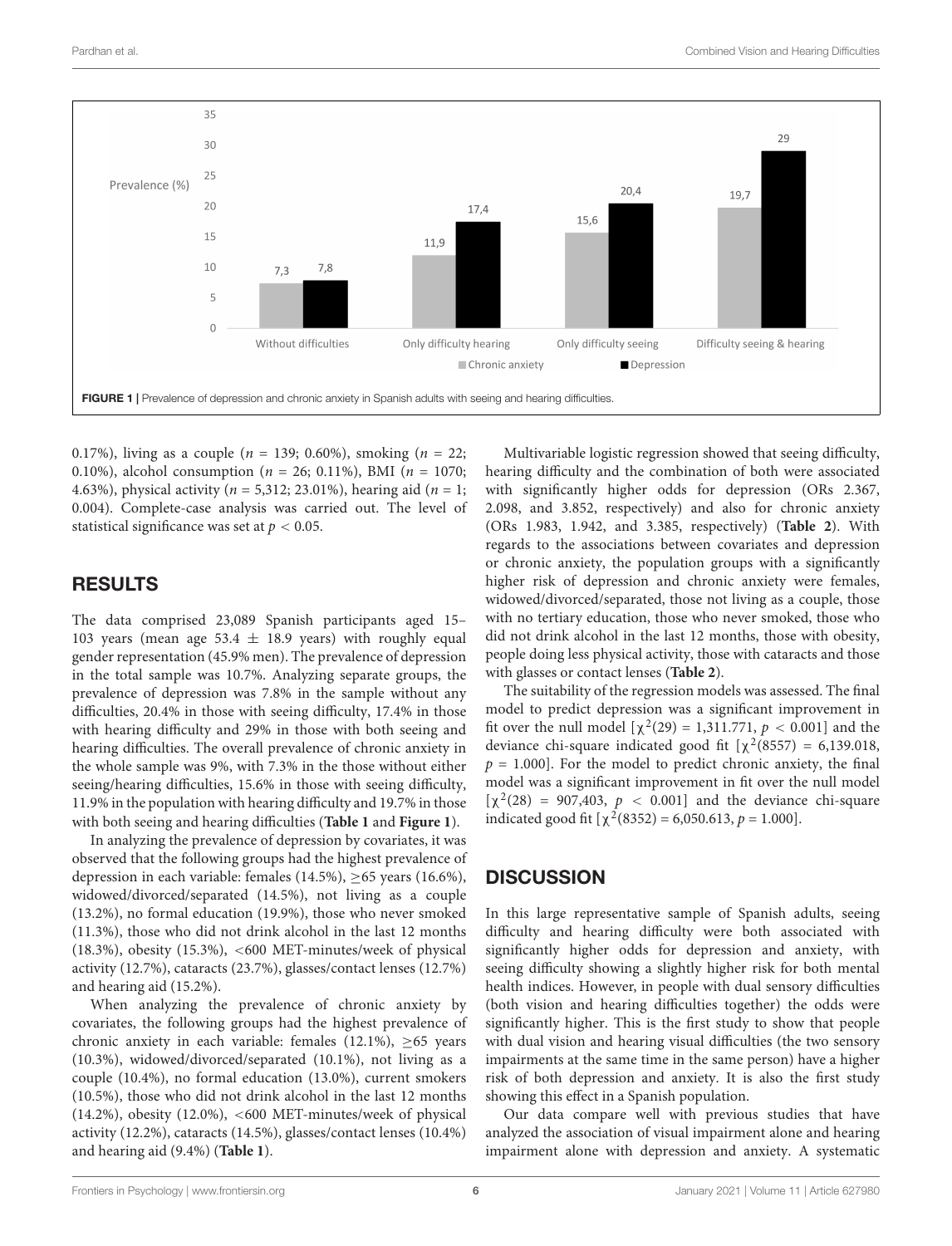

<span id="page-5-0"></span>0.17%), living as a couple ( $n = 139$ ; 0.60%), smoking ( $n = 22$ ; 0.10%), alcohol consumption ( $n = 26$ ; 0.11%), BMI ( $n = 1070$ ; 4.63%), physical activity ( $n = 5,312; 23.01%$ ), hearing aid ( $n = 1;$ 0.004). Complete-case analysis was carried out. The level of statistical significance was set at  $p < 0.05$ .

## RESULTS

The data comprised 23,089 Spanish participants aged 15– 103 years (mean age 53.4  $\pm$  18.9 years) with roughly equal gender representation (45.9% men). The prevalence of depression in the total sample was 10.7%. Analyzing separate groups, the prevalence of depression was 7.8% in the sample without any difficulties, 20.4% in those with seeing difficulty, 17.4% in those with hearing difficulty and 29% in those with both seeing and hearing difficulties. The overall prevalence of chronic anxiety in the whole sample was 9%, with 7.3% in the those without either seeing/hearing difficulties, 15.6% in those with seeing difficulty, 11.9% in the population with hearing difficulty and 19.7% in those with both seeing and hearing difficulties (**[Table 1](#page-3-0)** and **[Figure 1](#page-5-0)**).

In analyzing the prevalence of depression by covariates, it was observed that the following groups had the highest prevalence of depression in each variable: females (14.5%), ≥65 years (16.6%), widowed/divorced/separated (14.5%), not living as a couple (13.2%), no formal education (19.9%), those who never smoked (11.3%), those who did not drink alcohol in the last 12 months (18.3%), obesity (15.3%), <600 MET-minutes/week of physical activity (12.7%), cataracts (23.7%), glasses/contact lenses (12.7%) and hearing aid (15.2%).

When analyzing the prevalence of chronic anxiety by covariates, the following groups had the highest prevalence of chronic anxiety in each variable: females (12.1%),  $\geq 65$  years (10.3%), widowed/divorced/separated (10.1%), not living as a couple (10.4%), no formal education (13.0%), current smokers (10.5%), those who did not drink alcohol in the last 12 months (14.2%), obesity (12.0%), <600 MET-minutes/week of physical activity (12.2%), cataracts (14.5%), glasses/contact lenses (10.4%) and hearing aid (9.4%) (**[Table 1](#page-3-0)**).

Multivariable logistic regression showed that seeing difficulty, hearing difficulty and the combination of both were associated with significantly higher odds for depression (ORs 2.367, 2.098, and 3.852, respectively) and also for chronic anxiety (ORs 1.983, 1.942, and 3.385, respectively) (**[Table 2](#page-4-0)**). With regards to the associations between covariates and depression or chronic anxiety, the population groups with a significantly higher risk of depression and chronic anxiety were females, widowed/divorced/separated, those not living as a couple, those with no tertiary education, those who never smoked, those who did not drink alcohol in the last 12 months, those with obesity, people doing less physical activity, those with cataracts and those with glasses or contact lenses (**[Table 2](#page-4-0)**).

The suitability of the regression models was assessed. The final model to predict depression was a significant improvement in fit over the null model  $[\chi^2(29) = 1,311.771, p < 0.001]$  and the deviance chi-square indicated good fit  $[\chi^2(8557) = 6,139.018,$  $p = 1.000$ ]. For the model to predict chronic anxiety, the final model was a significant improvement in fit over the null model [ $\chi^2(28)$  = 907,403,  $p < 0.001$ ] and the deviance chi-square indicated good fit  $[\chi^2(8352) = 6,050.613, p = 1.000]$ .

## **DISCUSSION**

In this large representative sample of Spanish adults, seeing difficulty and hearing difficulty were both associated with significantly higher odds for depression and anxiety, with seeing difficulty showing a slightly higher risk for both mental health indices. However, in people with dual sensory difficulties (both vision and hearing difficulties together) the odds were significantly higher. This is the first study to show that people with dual vision and hearing visual difficulties (the two sensory impairments at the same time in the same person) have a higher risk of both depression and anxiety. It is also the first study showing this effect in a Spanish population.

Our data compare well with previous studies that have analyzed the association of visual impairment alone and hearing impairment alone with depression and anxiety. A systematic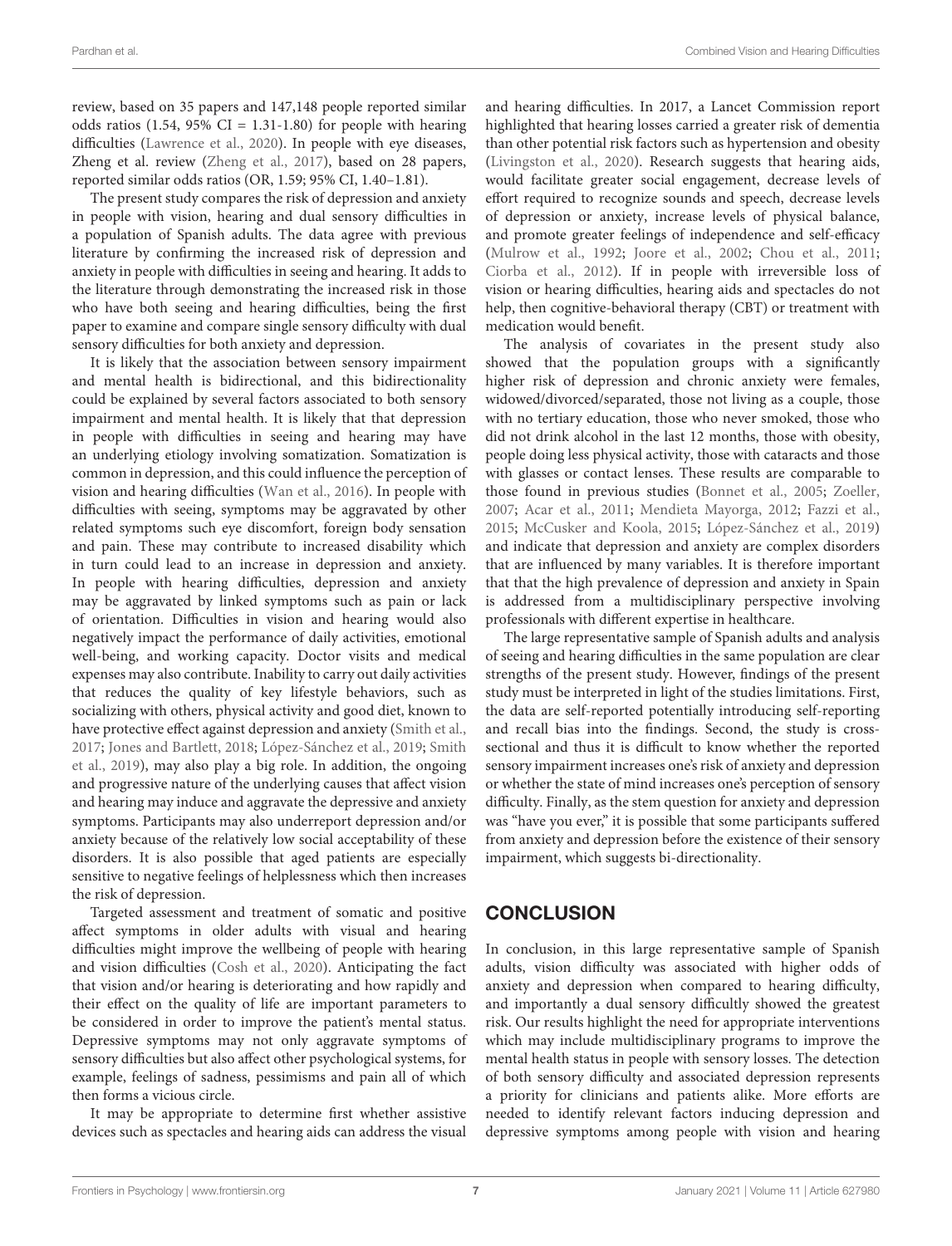review, based on 35 papers and 147,148 people reported similar odds ratios  $(1.54, 95\% \text{ CI} = 1.31 \text{-} 1.80)$  for people with hearing difficulties [\(Lawrence et al.,](#page-8-11) [2020\)](#page-8-11). In people with eye diseases, Zheng et al. review [\(Zheng et al.,](#page-9-8) [2017\)](#page-9-8), based on 28 papers, reported similar odds ratios (OR, 1.59; 95% CI, 1.40–1.81).

The present study compares the risk of depression and anxiety in people with vision, hearing and dual sensory difficulties in a population of Spanish adults. The data agree with previous literature by confirming the increased risk of depression and anxiety in people with difficulties in seeing and hearing. It adds to the literature through demonstrating the increased risk in those who have both seeing and hearing difficulties, being the first paper to examine and compare single sensory difficulty with dual sensory difficulties for both anxiety and depression.

It is likely that the association between sensory impairment and mental health is bidirectional, and this bidirectionality could be explained by several factors associated to both sensory impairment and mental health. It is likely that that depression in people with difficulties in seeing and hearing may have an underlying etiology involving somatization. Somatization is common in depression, and this could influence the perception of vision and hearing difficulties [\(Wan et al.,](#page-8-32) [2016\)](#page-8-32). In people with difficulties with seeing, symptoms may be aggravated by other related symptoms such eye discomfort, foreign body sensation and pain. These may contribute to increased disability which in turn could lead to an increase in depression and anxiety. In people with hearing difficulties, depression and anxiety may be aggravated by linked symptoms such as pain or lack of orientation. Difficulties in vision and hearing would also negatively impact the performance of daily activities, emotional well-being, and working capacity. Doctor visits and medical expenses may also contribute. Inability to carry out daily activities that reduces the quality of key lifestyle behaviors, such as socializing with others, physical activity and good diet, known to have protective effect against depression and anxiety [\(Smith et al.,](#page-8-33) [2017;](#page-8-33) [Jones and Bartlett,](#page-7-12) [2018;](#page-7-12) [López-Sánchez et al.,](#page-8-29) [2019;](#page-8-29) [Smith](#page-8-14) [et al.,](#page-8-14) [2019\)](#page-8-14), may also play a big role. In addition, the ongoing and progressive nature of the underlying causes that affect vision and hearing may induce and aggravate the depressive and anxiety symptoms. Participants may also underreport depression and/or anxiety because of the relatively low social acceptability of these disorders. It is also possible that aged patients are especially sensitive to negative feelings of helplessness which then increases the risk of depression.

Targeted assessment and treatment of somatic and positive affect symptoms in older adults with visual and hearing difficulties might improve the wellbeing of people with hearing and vision difficulties [\(Cosh et al.,](#page-7-23) [2020\)](#page-7-23). Anticipating the fact that vision and/or hearing is deteriorating and how rapidly and their effect on the quality of life are important parameters to be considered in order to improve the patient's mental status. Depressive symptoms may not only aggravate symptoms of sensory difficulties but also affect other psychological systems, for example, feelings of sadness, pessimisms and pain all of which then forms a vicious circle.

It may be appropriate to determine first whether assistive devices such as spectacles and hearing aids can address the visual

and hearing difficulties. In 2017, a Lancet Commission report highlighted that hearing losses carried a greater risk of dementia than other potential risk factors such as hypertension and obesity [\(Livingston et al.,](#page-8-34) [2020\)](#page-8-34). Research suggests that hearing aids, would facilitate greater social engagement, decrease levels of effort required to recognize sounds and speech, decrease levels of depression or anxiety, increase levels of physical balance, and promote greater feelings of independence and self-efficacy [\(Mulrow et al.,](#page-8-35) [1992;](#page-8-35) [Joore et al.,](#page-7-24) [2002;](#page-7-24) [Chou et al.,](#page-7-25) [2011;](#page-7-25) [Ciorba et al.,](#page-7-26) [2012\)](#page-7-26). If in people with irreversible loss of vision or hearing difficulties, hearing aids and spectacles do not help, then cognitive-behavioral therapy (CBT) or treatment with medication would benefit.

The analysis of covariates in the present study also showed that the population groups with a significantly higher risk of depression and chronic anxiety were females, widowed/divorced/separated, those not living as a couple, those with no tertiary education, those who never smoked, those who did not drink alcohol in the last 12 months, those with obesity, people doing less physical activity, those with cataracts and those with glasses or contact lenses. These results are comparable to those found in previous studies [\(Bonnet et al.,](#page-7-18) [2005;](#page-7-18) [Zoeller,](#page-9-7) [2007;](#page-9-7) [Acar et al.,](#page-7-19) [2011;](#page-7-19) [Mendieta Mayorga,](#page-8-27) [2012;](#page-8-27) [Fazzi et al.,](#page-7-20) [2015;](#page-7-20) [McCusker and Koola,](#page-8-28) [2015;](#page-8-28) [López-Sánchez et al.,](#page-8-29) [2019\)](#page-8-29) and indicate that depression and anxiety are complex disorders that are influenced by many variables. It is therefore important that that the high prevalence of depression and anxiety in Spain is addressed from a multidisciplinary perspective involving professionals with different expertise in healthcare.

The large representative sample of Spanish adults and analysis of seeing and hearing difficulties in the same population are clear strengths of the present study. However, findings of the present study must be interpreted in light of the studies limitations. First, the data are self-reported potentially introducing self-reporting and recall bias into the findings. Second, the study is crosssectional and thus it is difficult to know whether the reported sensory impairment increases one's risk of anxiety and depression or whether the state of mind increases one's perception of sensory difficulty. Finally, as the stem question for anxiety and depression was "have you ever," it is possible that some participants suffered from anxiety and depression before the existence of their sensory impairment, which suggests bi-directionality.

## **CONCLUSION**

In conclusion, in this large representative sample of Spanish adults, vision difficulty was associated with higher odds of anxiety and depression when compared to hearing difficulty, and importantly a dual sensory difficultly showed the greatest risk. Our results highlight the need for appropriate interventions which may include multidisciplinary programs to improve the mental health status in people with sensory losses. The detection of both sensory difficulty and associated depression represents a priority for clinicians and patients alike. More efforts are needed to identify relevant factors inducing depression and depressive symptoms among people with vision and hearing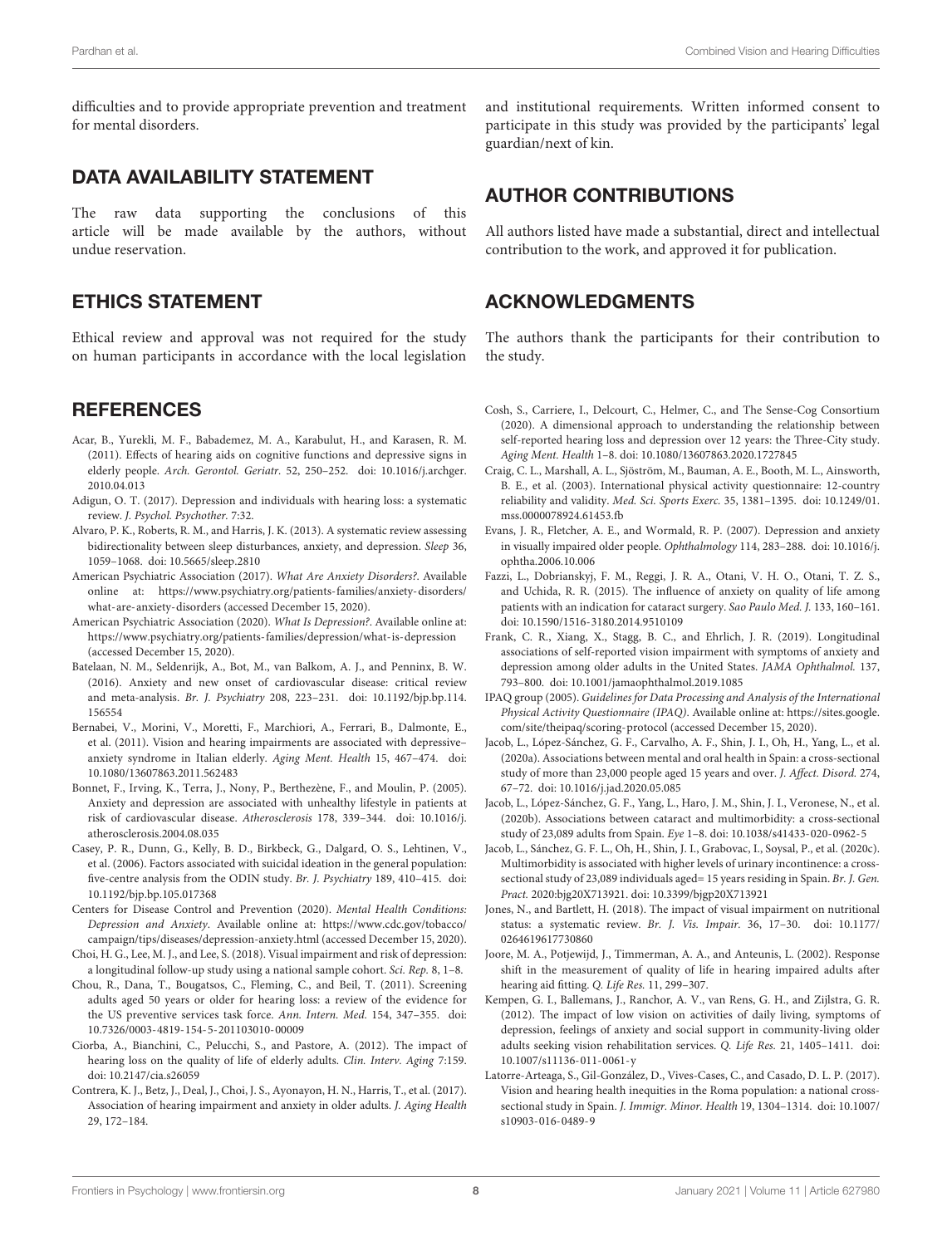difficulties and to provide appropriate prevention and treatment for mental disorders.

#### DATA AVAILABILITY STATEMENT

The raw data supporting the conclusions of this article will be made available by the authors, without undue reservation.

#### ETHICS STATEMENT

Ethical review and approval was not required for the study on human participants in accordance with the local legislation

#### **REFERENCES**

- <span id="page-7-19"></span>Acar, B., Yurekli, M. F., Babademez, M. A., Karabulut, H., and Karasen, R. M. (2011). Effects of hearing aids on cognitive functions and depressive signs in elderly people. Arch. Gerontol. Geriatr. 52, 250–252. [doi: 10.1016/j.archger.](https://doi.org/10.1016/j.archger.2010.04.013) [2010.04.013](https://doi.org/10.1016/j.archger.2010.04.013)
- <span id="page-7-11"></span>Adigun, O. T. (2017). Depression and individuals with hearing loss: a systematic review. J. Psychol. Psychother. 7:32.
- <span id="page-7-4"></span>Alvaro, P. K., Roberts, R. M., and Harris, J. K. (2013). A systematic review assessing bidirectionality between sleep disturbances, anxiety, and depression. Sleep 36, 1059–1068. [doi: 10.5665/sleep.2810](https://doi.org/10.5665/sleep.2810)
- <span id="page-7-2"></span>American Psychiatric Association (2017). What Are Anxiety Disorders?. Available online at: [https://www.psychiatry.org/patients-families/anxiety-disorders/](https://www.psychiatry.org/patients-families/anxiety-disorders/what-are-anxiety-disorders) [what-are-anxiety-disorders](https://www.psychiatry.org/patients-families/anxiety-disorders/what-are-anxiety-disorders) (accessed December 15, 2020).
- <span id="page-7-0"></span>American Psychiatric Association (2020). What Is Depression?. Available online at: <https://www.psychiatry.org/patients-families/depression/what-is-depression> (accessed December 15, 2020).
- <span id="page-7-5"></span>Batelaan, N. M., Seldenrijk, A., Bot, M., van Balkom, A. J., and Penninx, B. W. (2016). Anxiety and new onset of cardiovascular disease: critical review and meta-analysis. Br. J. Psychiatry 208, 223–231. [doi: 10.1192/bjp.bp.114.](https://doi.org/10.1192/bjp.bp.114.156554) [156554](https://doi.org/10.1192/bjp.bp.114.156554)
- <span id="page-7-9"></span>Bernabei, V., Morini, V., Moretti, F., Marchiori, A., Ferrari, B., Dalmonte, E., et al. (2011). Vision and hearing impairments are associated with depressive– anxiety syndrome in Italian elderly. Aging Ment. Health 15, 467–474. [doi:](https://doi.org/10.1080/13607863.2011.562483) [10.1080/13607863.2011.562483](https://doi.org/10.1080/13607863.2011.562483)
- <span id="page-7-18"></span>Bonnet, F., Irving, K., Terra, J., Nony, P., Berthezène, F., and Moulin, P. (2005). Anxiety and depression are associated with unhealthy lifestyle in patients at risk of cardiovascular disease. Atherosclerosis 178, 339–344. [doi: 10.1016/j.](https://doi.org/10.1016/j.atherosclerosis.2004.08.035) [atherosclerosis.2004.08.035](https://doi.org/10.1016/j.atherosclerosis.2004.08.035)
- <span id="page-7-3"></span>Casey, P. R., Dunn, G., Kelly, B. D., Birkbeck, G., Dalgard, O. S., Lehtinen, V., et al. (2006). Factors associated with suicidal ideation in the general population: five-centre analysis from the ODIN study. Br. J. Psychiatry 189, 410–415. [doi:](https://doi.org/10.1192/bjp.bp.105.017368) [10.1192/bjp.bp.105.017368](https://doi.org/10.1192/bjp.bp.105.017368)
- <span id="page-7-1"></span>Centers for Disease Control and Prevention (2020). Mental Health Conditions: Depression and Anxiety. Available online at: [https://www.cdc.gov/tobacco/](https://www.cdc.gov/tobacco/campaign/tips/diseases/depression-anxiety.html) [campaign/tips/diseases/depression-anxiety.html](https://www.cdc.gov/tobacco/campaign/tips/diseases/depression-anxiety.html) (accessed December 15, 2020).
- <span id="page-7-6"></span>Choi, H. G., Lee, M. J., and Lee, S. (2018). Visual impairment and risk of depression: a longitudinal follow-up study using a national sample cohort. Sci. Rep. 8, 1–8.
- <span id="page-7-25"></span>Chou, R., Dana, T., Bougatsos, C., Fleming, C., and Beil, T. (2011). Screening adults aged 50 years or older for hearing loss: a review of the evidence for the US preventive services task force. Ann. Intern. Med. 154, 347–355. [doi:](https://doi.org/10.7326/0003-4819-154-5-201103010-00009) [10.7326/0003-4819-154-5-201103010-00009](https://doi.org/10.7326/0003-4819-154-5-201103010-00009)
- <span id="page-7-26"></span>Ciorba, A., Bianchini, C., Pelucchi, S., and Pastore, A. (2012). The impact of hearing loss on the quality of life of elderly adults. Clin. Interv. Aging 7:159. [doi: 10.2147/cia.s26059](https://doi.org/10.2147/cia.s26059)
- <span id="page-7-10"></span>Contrera, K. J., Betz, J., Deal, J., Choi, J. S., Ayonayon, H. N., Harris, T., et al. (2017). Association of hearing impairment and anxiety in older adults. J. Aging Health 29, 172–184.

and institutional requirements. Written informed consent to participate in this study was provided by the participants' legal guardian/next of kin.

#### AUTHOR CONTRIBUTIONS

All authors listed have made a substantial, direct and intellectual contribution to the work, and approved it for publication.

#### ACKNOWLEDGMENTS

The authors thank the participants for their contribution to the study.

- <span id="page-7-23"></span>Cosh, S., Carriere, I., Delcourt, C., Helmer, C., and The Sense-Cog Consortium (2020). A dimensional approach to understanding the relationship between self-reported hearing loss and depression over 12 years: the Three-City study. Aging Ment. Health 1–8. [doi: 10.1080/13607863.2020.1727845](https://doi.org/10.1080/13607863.2020.1727845)
- <span id="page-7-22"></span>Craig, C. L., Marshall, A. L., Sjöström, M., Bauman, A. E., Booth, M. L., Ainsworth, B. E., et al. (2003). International physical activity questionnaire: 12-country reliability and validity. Med. Sci. Sports Exerc. 35, 1381–1395. [doi: 10.1249/01.](https://doi.org/10.1249/01.mss.0000078924.61453.fb) [mss.0000078924.61453.fb](https://doi.org/10.1249/01.mss.0000078924.61453.fb)
- <span id="page-7-7"></span>Evans, J. R., Fletcher, A. E., and Wormald, R. P. (2007). Depression and anxiety in visually impaired older people. Ophthalmology 114, 283–288. [doi: 10.1016/j.](https://doi.org/10.1016/j.ophtha.2006.10.006) [ophtha.2006.10.006](https://doi.org/10.1016/j.ophtha.2006.10.006)
- <span id="page-7-20"></span>Fazzi, L., Dobrianskyj, F. M., Reggi, J. R. A., Otani, V. H. O., Otani, T. Z. S., and Uchida, R. R. (2015). The influence of anxiety on quality of life among patients with an indication for cataract surgery. Sao Paulo Med. J. 133, 160–161. [doi: 10.1590/1516-3180.2014.9510109](https://doi.org/10.1590/1516-3180.2014.9510109)
- <span id="page-7-14"></span>Frank, C. R., Xiang, X., Stagg, B. C., and Ehrlich, J. R. (2019). Longitudinal associations of self-reported vision impairment with symptoms of anxiety and depression among older adults in the United States. JAMA Ophthalmol. 137, 793–800. [doi: 10.1001/jamaophthalmol.2019.1085](https://doi.org/10.1001/jamaophthalmol.2019.1085)
- <span id="page-7-21"></span>IPAQ group (2005). Guidelines for Data Processing and Analysis of the International Physical Activity Questionnaire (IPAQ). Available online at: [https://sites.google.](https://sites.google.com/site/theipaq/scoring-protocol) [com/site/theipaq/scoring-protocol](https://sites.google.com/site/theipaq/scoring-protocol) (accessed December 15, 2020).
- <span id="page-7-15"></span>Jacob, L., López-Sánchez, G. F., Carvalho, A. F., Shin, J. I., Oh, H., Yang, L., et al. (2020a). Associations between mental and oral health in Spain: a cross-sectional study of more than 23,000 people aged 15 years and over. J. Affect. Disord. 274, 67–72. [doi: 10.1016/j.jad.2020.05.085](https://doi.org/10.1016/j.jad.2020.05.085)
- <span id="page-7-16"></span>Jacob, L., López-Sánchez, G. F., Yang, L., Haro, J. M., Shin, J. I., Veronese, N., et al. (2020b). Associations between cataract and multimorbidity: a cross-sectional study of 23,089 adults from Spain. Eye 1–8. [doi: 10.1038/s41433-020-0962-5](https://doi.org/10.1038/s41433-020-0962-5)
- <span id="page-7-17"></span>Jacob, L., Sánchez, G. F. L., Oh, H., Shin, J. I., Grabovac, I., Soysal, P., et al. (2020c). Multimorbidity is associated with higher levels of urinary incontinence: a crosssectional study of 23,089 individuals aged= 15 years residing in Spain. Br. J. Gen. Pract. 2020:bjg20X713921. [doi: 10.3399/bjgp20X713921](https://doi.org/10.3399/bjgp20X713921)
- <span id="page-7-12"></span>Jones, N., and Bartlett, H. (2018). The impact of visual impairment on nutritional status: a systematic review. Br. J. Vis. Impair. 36, 17–30. [doi: 10.1177/](https://doi.org/10.1177/0264619617730860) [0264619617730860](https://doi.org/10.1177/0264619617730860)
- <span id="page-7-24"></span>Joore, M. A., Potjewijd, J., Timmerman, A. A., and Anteunis, L. (2002). Response shift in the measurement of quality of life in hearing impaired adults after hearing aid fitting. Q. Life Res. 11, 299–307.
- <span id="page-7-8"></span>Kempen, G. I., Ballemans, J., Ranchor, A. V., van Rens, G. H., and Zijlstra, G. R. (2012). The impact of low vision on activities of daily living, symptoms of depression, feelings of anxiety and social support in community-living older adults seeking vision rehabilitation services. Q. Life Res. 21, 1405–1411. [doi:](https://doi.org/10.1007/s11136-011-0061-y) [10.1007/s11136-011-0061-y](https://doi.org/10.1007/s11136-011-0061-y)
- <span id="page-7-13"></span>Latorre-Arteaga, S., Gil-González, D., Vives-Cases, C., and Casado, D. L. P. (2017). Vision and hearing health inequities in the Roma population: a national crosssectional study in Spain. J. Immigr. Minor. Health 19, 1304–1314. [doi: 10.1007/](https://doi.org/10.1007/s10903-016-0489-9) [s10903-016-0489-9](https://doi.org/10.1007/s10903-016-0489-9)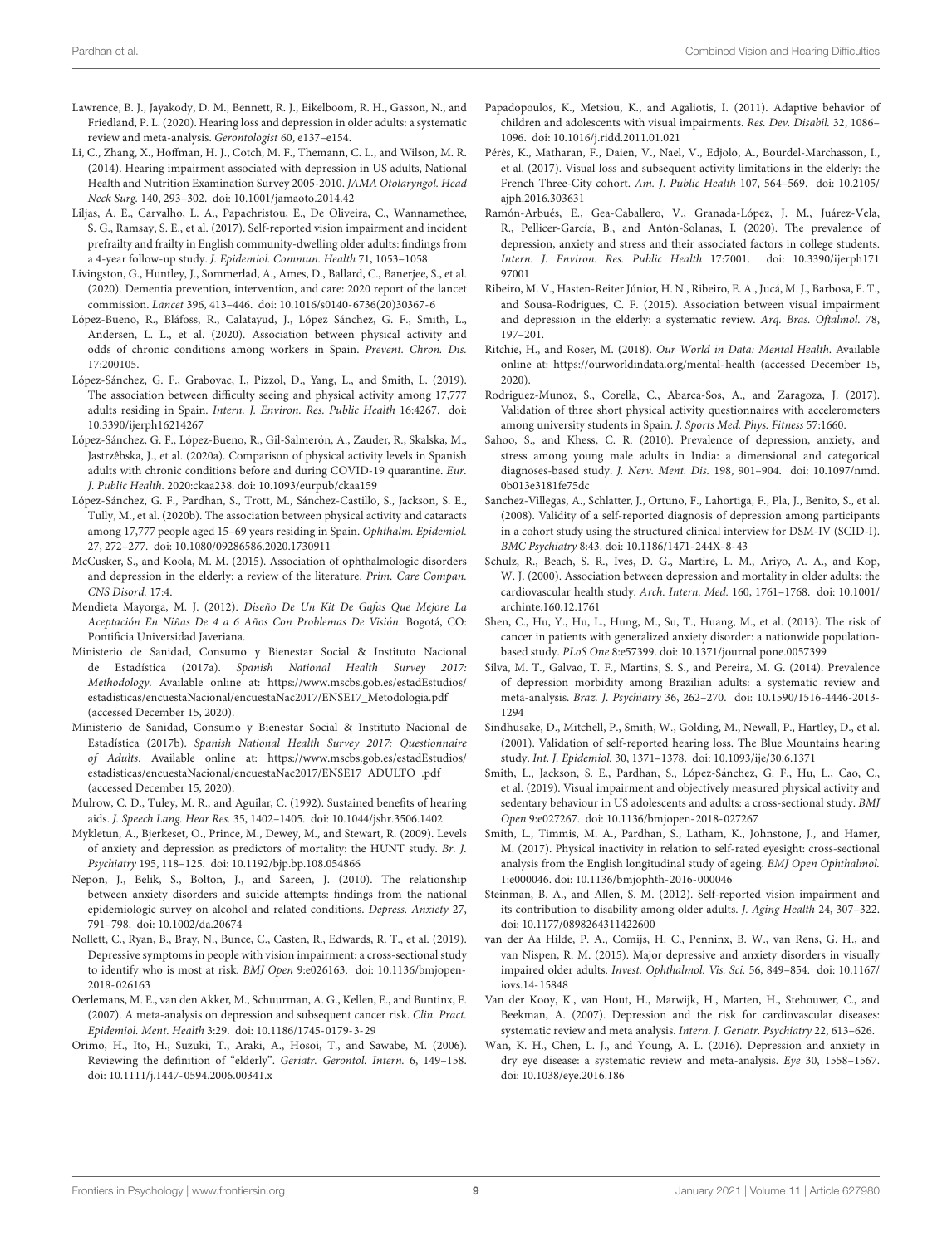- <span id="page-8-11"></span>Lawrence, B. J., Jayakody, D. M., Bennett, R. J., Eikelboom, R. H., Gasson, N., and Friedland, P. L. (2020). Hearing loss and depression in older adults: a systematic review and meta-analysis. Gerontologist 60, e137–e154.
- <span id="page-8-10"></span>Li, C., Zhang, X., Hoffman, H. J., Cotch, M. F., Themann, C. L., and Wilson, M. R. (2014). Hearing impairment associated with depression in US adults, National Health and Nutrition Examination Survey 2005-2010. JAMA Otolaryngol. Head Neck Surg. 140, 293–302. [doi: 10.1001/jamaoto.2014.42](https://doi.org/10.1001/jamaoto.2014.42)
- <span id="page-8-22"></span>Liljas, A. E., Carvalho, L. A., Papachristou, E., De Oliveira, C., Wannamethee, S. G., Ramsay, S. E., et al. (2017). Self-reported vision impairment and incident prefrailty and frailty in English community-dwelling older adults: findings from a 4-year follow-up study. J. Epidemiol. Commun. Health 71, 1053–1058.
- <span id="page-8-34"></span>Livingston, G., Huntley, J., Sommerlad, A., Ames, D., Ballard, C., Banerjee, S., et al. (2020). Dementia prevention, intervention, and care: 2020 report of the lancet commission. Lancet 396, 413–446. [doi: 10.1016/s0140-6736\(20\)30367-6](https://doi.org/10.1016/s0140-6736(20)30367-6)
- <span id="page-8-25"></span>López-Bueno, R., Bláfoss, R., Calatayud, J., López Sánchez, G. F., Smith, L., Andersen, L. L., et al. (2020). Association between physical activity and odds of chronic conditions among workers in Spain. Prevent. Chron. Dis. 17:200105.
- <span id="page-8-29"></span>López-Sánchez, G. F., Grabovac, I., Pizzol, D., Yang, L., and Smith, L. (2019). The association between difficulty seeing and physical activity among 17,777 adults residing in Spain. Intern. J. Environ. Res. Public Health 16:4267. [doi:](https://doi.org/10.3390/ijerph16214267) [10.3390/ijerph16214267](https://doi.org/10.3390/ijerph16214267)
- <span id="page-8-26"></span>López-Sánchez, G. F., López-Bueno, R., Gil-Salmerón, A., Zauder, R., Skalska, M., Jastrzêbska, J., et al. (2020a). Comparison of physical activity levels in Spanish adults with chronic conditions before and during COVID-19 quarantine. Eur. J. Public Health. 2020:ckaa238. [doi: 10.1093/eurpub/ckaa159](https://doi.org/10.1093/eurpub/ckaa159)
- <span id="page-8-15"></span>López-Sánchez, G. F., Pardhan, S., Trott, M., Sánchez-Castillo, S., Jackson, S. E., Tully, M., et al. (2020b). The association between physical activity and cataracts among 17,777 people aged 15–69 years residing in Spain. Ophthalm. Epidemiol. 27, 272–277. [doi: 10.1080/09286586.2020.1730911](https://doi.org/10.1080/09286586.2020.1730911)
- <span id="page-8-28"></span>McCusker, S., and Koola, M. M. (2015). Association of ophthalmologic disorders and depression in the elderly: a review of the literature. Prim. Care Compan. CNS Disord. 17:4.
- <span id="page-8-27"></span>Mendieta Mayorga, M. J. (2012). Diseño De Un Kit De Gafas Que Mejore La Aceptación En Niñas De 4 a 6 Años Con Problemas De Visión. Bogotá, CO: Pontificia Universidad Javeriana.
- <span id="page-8-19"></span>Ministerio de Sanidad, Consumo y Bienestar Social & Instituto Nacional de Estadística (2017a). Spanish National Health Survey 2017: Methodology. Available online at: [https://www.mscbs.gob.es/estadEstudios/](https://www.mscbs.gob.es/estadEstudios/estadisticas/encuestaNacional/encuestaNac2017/ENSE17_Metodologia.pdf) [estadisticas/encuestaNacional/encuestaNac2017/ENSE17\\_Metodologia.pdf](https://www.mscbs.gob.es/estadEstudios/estadisticas/encuestaNacional/encuestaNac2017/ENSE17_Metodologia.pdf) (accessed December 15, 2020).
- <span id="page-8-20"></span>Ministerio de Sanidad, Consumo y Bienestar Social & Instituto Nacional de Estadística (2017b). Spanish National Health Survey 2017: Questionnaire of Adults. Available online at: [https://www.mscbs.gob.es/estadEstudios/](https://www.mscbs.gob.es/estadEstudios/estadisticas/encuestaNacional/encuestaNac2017/ENSE17_ADULTO_.pdf) [estadisticas/encuestaNacional/encuestaNac2017/ENSE17\\_ADULTO\\_.pdf](https://www.mscbs.gob.es/estadEstudios/estadisticas/encuestaNacional/encuestaNac2017/ENSE17_ADULTO_.pdf) (accessed December 15, 2020).
- <span id="page-8-35"></span>Mulrow, C. D., Tuley, M. R., and Aguilar, C. (1992). Sustained benefits of hearing aids. J. Speech Lang. Hear Res. 35, 1402–1405. [doi: 10.1044/jshr.3506.1402](https://doi.org/10.1044/jshr.3506.1402)
- <span id="page-8-6"></span>Mykletun, A., Bjerkeset, O., Prince, M., Dewey, M., and Stewart, R. (2009). Levels of anxiety and depression as predictors of mortality: the HUNT study. Br. J. Psychiatry 195, 118–125. [doi: 10.1192/bjp.bp.108.054866](https://doi.org/10.1192/bjp.bp.108.054866)
- <span id="page-8-1"></span>Nepon, J., Belik, S., Bolton, J., and Sareen, J. (2010). The relationship between anxiety disorders and suicide attempts: findings from the national epidemiologic survey on alcohol and related conditions. Depress. Anxiety 27, 791–798. [doi: 10.1002/da.20674](https://doi.org/10.1002/da.20674)
- <span id="page-8-9"></span>Nollett, C., Ryan, B., Bray, N., Bunce, C., Casten, R., Edwards, R. T., et al. (2019). Depressive symptoms in people with vision impairment: a cross-sectional study to identify who is most at risk. BMJ Open 9:e026163. [doi: 10.1136/bmjopen-](https://doi.org/10.1136/bmjopen-2018-026163)[2018-026163](https://doi.org/10.1136/bmjopen-2018-026163)
- <span id="page-8-3"></span>Oerlemans, M. E., van den Akker, M., Schuurman, A. G., Kellen, E., and Buntinx, F. (2007). A meta-analysis on depression and subsequent cancer risk. Clin. Pract. Epidemiol. Ment. Health 3:29. [doi: 10.1186/1745-0179-3-29](https://doi.org/10.1186/1745-0179-3-29)
- <span id="page-8-30"></span>Orimo, H., Ito, H., Suzuki, T., Araki, A., Hosoi, T., and Sawabe, M. (2006). Reviewing the definition of "elderly". Geriatr. Gerontol. Intern. 6, 149–158. [doi: 10.1111/j.1447-0594.2006.00341.x](https://doi.org/10.1111/j.1447-0594.2006.00341.x)
- <span id="page-8-12"></span>Papadopoulos, K., Metsiou, K., and Agaliotis, I. (2011). Adaptive behavior of children and adolescents with visual impairments. Res. Dev. Disabil. 32, 1086– 1096. [doi: 10.1016/j.ridd.2011.01.021](https://doi.org/10.1016/j.ridd.2011.01.021)
- <span id="page-8-13"></span>Pérès, K., Matharan, F., Daien, V., Nael, V., Edjolo, A., Bourdel-Marchasson, I., et al. (2017). Visual loss and subsequent activity limitations in the elderly: the French Three-City cohort. Am. J. Public Health 107, 564–569. [doi: 10.2105/](https://doi.org/10.2105/ajph.2016.303631) [ajph.2016.303631](https://doi.org/10.2105/ajph.2016.303631)
- <span id="page-8-18"></span>Ramón-Arbués, E., Gea-Caballero, V., Granada-López, J. M., Juárez-Vela, R., Pellicer-García, B., and Antón-Solanas, I. (2020). The prevalence of depression, anxiety and stress and their associated factors in college students. Intern. J. Environ. Res. Public Health 17:7001. [doi: 10.3390/ijerph171](https://doi.org/10.3390/ijerph17197001) [97001](https://doi.org/10.3390/ijerph17197001)
- <span id="page-8-7"></span>Ribeiro, M. V., Hasten-Reiter Júnior, H. N., Ribeiro, E. A., Jucá, M. J., Barbosa, F. T., and Sousa-Rodrigues, C. F. (2015). Association between visual impairment and depression in the elderly: a systematic review. Arq. Bras. Oftalmol. 78, 197–201.
- <span id="page-8-0"></span>Ritchie, H., and Roser, M. (2018). Our World in Data: Mental Health. Available online at: <https://ourworldindata.org/mental-health> (accessed December 15, 2020).
- <span id="page-8-31"></span>Rodriguez-Munoz, S., Corella, C., Abarca-Sos, A., and Zaragoza, J. (2017). Validation of three short physical activity questionnaires with accelerometers among university students in Spain. J. Sports Med. Phys. Fitness 57:1660.
- <span id="page-8-16"></span>Sahoo, S., and Khess, C. R. (2010). Prevalence of depression, anxiety, and stress among young male adults in India: a dimensional and categorical diagnoses-based study. J. Nerv. Ment. Dis. 198, 901–904. [doi: 10.1097/nmd.](https://doi.org/10.1097/nmd.0b013e3181fe75dc) [0b013e3181fe75dc](https://doi.org/10.1097/nmd.0b013e3181fe75dc)
- <span id="page-8-24"></span>Sanchez-Villegas, A., Schlatter, J., Ortuno, F., Lahortiga, F., Pla, J., Benito, S., et al. (2008). Validity of a self-reported diagnosis of depression among participants in a cohort study using the structured clinical interview for DSM-IV (SCID-I). BMC Psychiatry 8:43. [doi: 10.1186/1471-244X-8-43](https://doi.org/10.1186/1471-244X-8-43)
- <span id="page-8-5"></span>Schulz, R., Beach, S. R., Ives, D. G., Martire, L. M., Ariyo, A. A., and Kop, W. J. (2000). Association between depression and mortality in older adults: the cardiovascular health study. Arch. Intern. Med. 160, 1761–1768. [doi: 10.1001/](https://doi.org/10.1001/archinte.160.12.1761) [archinte.160.12.1761](https://doi.org/10.1001/archinte.160.12.1761)
- <span id="page-8-4"></span>Shen, C., Hu, Y., Hu, L., Hung, M., Su, T., Huang, M., et al. (2013). The risk of cancer in patients with generalized anxiety disorder: a nationwide populationbased study. PLoS One 8:e57399. [doi: 10.1371/journal.pone.0057399](https://doi.org/10.1371/journal.pone.0057399)
- <span id="page-8-17"></span>Silva, M. T., Galvao, T. F., Martins, S. S., and Pereira, M. G. (2014). Prevalence of depression morbidity among Brazilian adults: a systematic review and meta-analysis. Braz. J. Psychiatry 36, 262–270. [doi: 10.1590/1516-4446-2013-](https://doi.org/10.1590/1516-4446-2013-1294) [1294](https://doi.org/10.1590/1516-4446-2013-1294)
- <span id="page-8-23"></span>Sindhusake, D., Mitchell, P., Smith, W., Golding, M., Newall, P., Hartley, D., et al. (2001). Validation of self-reported hearing loss. The Blue Mountains hearing study. Int. J. Epidemiol. 30, 1371–1378. [doi: 10.1093/ije/30.6.1371](https://doi.org/10.1093/ije/30.6.1371)
- <span id="page-8-14"></span>Smith, L., Jackson, S. E., Pardhan, S., López-Sánchez, G. F., Hu, L., Cao, C., et al. (2019). Visual impairment and objectively measured physical activity and sedentary behaviour in US adolescents and adults: a cross-sectional study. BMJ Open 9:e027267. [doi: 10.1136/bmjopen-2018-027267](https://doi.org/10.1136/bmjopen-2018-027267)
- <span id="page-8-33"></span>Smith, L., Timmis, M. A., Pardhan, S., Latham, K., Johnstone, J., and Hamer, M. (2017). Physical inactivity in relation to self-rated eyesight: cross-sectional analysis from the English longitudinal study of ageing. BMJ Open Ophthalmol. 1:e000046. [doi: 10.1136/bmjophth-2016-000046](https://doi.org/10.1136/bmjophth-2016-000046)
- <span id="page-8-21"></span>Steinman, B. A., and Allen, S. M. (2012). Self-reported vision impairment and its contribution to disability among older adults. J. Aging Health 24, 307–322. [doi: 10.1177/0898264311422600](https://doi.org/10.1177/0898264311422600)
- <span id="page-8-8"></span>van der Aa Hilde, P. A., Comijs, H. C., Penninx, B. W., van Rens, G. H., and van Nispen, R. M. (2015). Major depressive and anxiety disorders in visually impaired older adults. Invest. Ophthalmol. Vis. Sci. 56, 849–854. [doi: 10.1167/](https://doi.org/10.1167/iovs.14-15848) [iovs.14-15848](https://doi.org/10.1167/iovs.14-15848)
- <span id="page-8-2"></span>Van der Kooy, K., van Hout, H., Marwijk, H., Marten, H., Stehouwer, C., and Beekman, A. (2007). Depression and the risk for cardiovascular diseases: systematic review and meta analysis. Intern. J. Geriatr. Psychiatry 22, 613–626.
- <span id="page-8-32"></span>Wan, K. H., Chen, L. J., and Young, A. L. (2016). Depression and anxiety in dry eye disease: a systematic review and meta-analysis. Eye 30, 1558–1567. [doi: 10.1038/eye.2016.186](https://doi.org/10.1038/eye.2016.186)